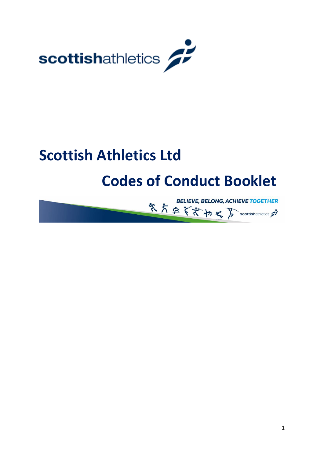

# **Scottish Athletics Ltd**

# **Codes of Conduct Booklet**

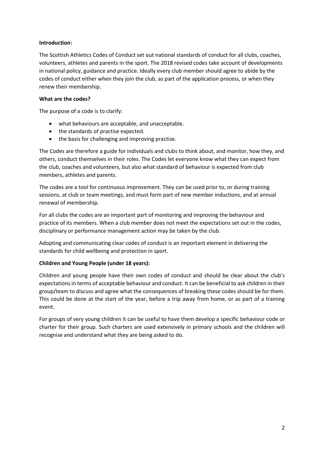### **Introduction:**

The Scottish Athletics Codes of Conduct set out national standards of conduct for all clubs, coaches, volunteers, athletes and parents in the sport. The 2018 revised codes take account of developments in national policy, guidance and practice. Ideally every club member should agree to abide by the codes of conduct either when they join the club, as part of the application process, or when they renew their membership.

### **What are the codes?**

The purpose of a code is to clarify:

- what behaviours are acceptable, and unacceptable.
- the standards of practise expected.
- the basis for challenging and improving practise.

The Codes are therefore a guide for individuals and clubs to think about, and monitor, how they, and others, conduct themselves in their roles. The Codes let everyone know what they can expect from the club, coaches and volunteers, but also what standard of behaviour is expected from club members, athletes and parents.

The codes are a tool for continuous improvement. They can be used prior to, or during training sessions, at club or team meetings, and must form part of new member inductions, and at annual renewal of membership.

For all clubs the codes are an important part of monitoring and improving the behaviour and practice of its members. When a club member does not meet the expectations set out in the codes, disciplinary or performance management action may be taken by the club.

Adopting and communicating clear codes of conduct is an important element in delivering the standards for child wellbeing and protection in sport.

### **Children and Young People (under 18 years):**

Children and young people have their own codes of conduct and should be clear about the club's expectations in terms of acceptable behaviour and conduct. It can be beneficial to ask children in their group/team to discuss and agree what the consequences of breaking these codes should be for them. This could be done at the start of the year, before a trip away from home, or as part of a training event.

For groups of very young children it can be useful to have them develop a specific behaviour code or charter for their group. Such charters are used extensively in primary schools and the children will recognise and understand what they are being asked to do.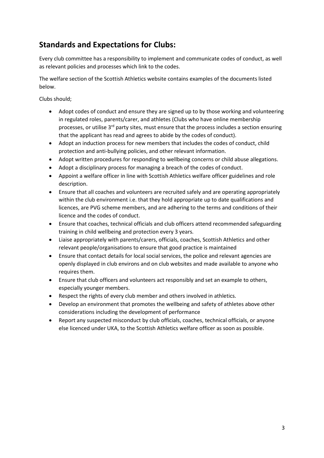### **Standards and Expectations for Clubs:**

Every club committee has a responsibility to implement and communicate codes of conduct, as well as relevant policies and processes which link to the codes.

The welfare section of the Scottish Athletics website contains examples of the documents listed below.

Clubs should;

- Adopt codes of conduct and ensure they are signed up to by those working and volunteering in regulated roles, parents/carer, and athletes (Clubs who have online membership processes, or utilise  $3<sup>rd</sup>$  party sites, must ensure that the process includes a section ensuring that the applicant has read and agrees to abide by the codes of conduct).
- Adopt an induction process for new members that includes the codes of conduct, child protection and anti-bullying policies, and other relevant information.
- Adopt written procedures for responding to wellbeing concerns or child abuse allegations.
- Adopt a disciplinary process for managing a breach of the codes of conduct.
- Appoint a welfare officer in line with Scottish Athletics welfare officer guidelines and role description.
- Ensure that all coaches and volunteers are recruited safely and are operating appropriately within the club environment i.e. that they hold appropriate up to date qualifications and licences, are PVG scheme members, and are adhering to the terms and conditions of their licence and the codes of conduct.
- Ensure that coaches, technical officials and club officers attend recommended safeguarding training in child wellbeing and protection every 3 years.
- Liaise appropriately with parents/carers, officials, coaches, Scottish Athletics and other relevant people/organisations to ensure that good practice is maintained
- Ensure that contact details for local social services, the police and relevant agencies are openly displayed in club environs and on club websites and made available to anyone who requires them.
- Ensure that club officers and volunteers act responsibly and set an example to others, especially younger members.
- Respect the rights of every club member and others involved in athletics.
- Develop an environment that promotes the wellbeing and safety of athletes above other considerations including the development of performance
- Report any suspected misconduct by club officials, coaches, technical officials, or anyone else licenced under UKA, to the Scottish Athletics welfare officer as soon as possible.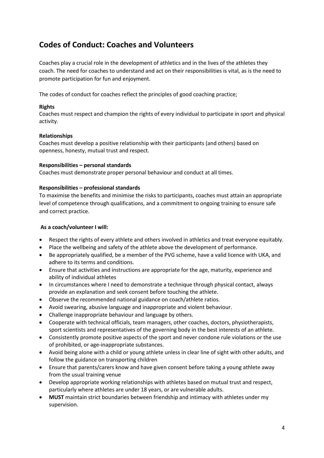### **Codes of Conduct: Coaches and Volunteers**

Coaches play a crucial role in the development of athletics and in the lives of the athletes they coach. The need for coaches to understand and act on their responsibilities is vital, as is the need to promote participation for fun and enjoyment.

The codes of conduct for coaches reflect the principles of good coaching practice;

### **Rights**

Coaches must respect and champion the rights of every individual to participate in sport and physical activity.

### **Relationships**

Coaches must develop a positive relationship with their participants (and others) based on openness, honesty, mutual trust and respect.

### **Responsibilities – personal standards**

Coaches must demonstrate proper personal behaviour and conduct at all times.

### **Responsibilities – professional standards**

To maximise the benefits and minimise the risks to participants, coaches must attain an appropriate level of competence through qualifications, and a commitment to ongoing training to ensure safe and correct practice.

### **As a coach/volunteer I will:**

- Respect the rights of every athlete and others involved in athletics and treat everyone equitably.
- Place the wellbeing and safety of the athlete above the development of performance.
- Be appropriately qualified, be a member of the PVG scheme, have a valid licence with UKA, and adhere to its terms and conditions.
- Ensure that activities and instructions are appropriate for the age, maturity, experience and ability of individual athletes
- In circumstances where I need to demonstrate a technique through physical contact, always provide an explanation and seek consent before touching the athlete.
- Observe the recommended national guidance on coach/athlete ratios.
- Avoid swearing, abusive language and inappropriate and violent behaviour.
- Challenge inappropriate behaviour and language by others.
- Cooperate with technical officials, team managers, other coaches, doctors, physiotherapists, sport scientists and representatives of the governing body in the best interests of an athlete.
- Consistently promote positive aspects of the sport and never condone rule violations or the use of prohibited, or age-inappropriate substances.
- Avoid being alone with a child or young athlete unless in clear line of sight with other adults, and follow the guidance on transporting children
- Ensure that parents/carers know and have given consent before taking a young athlete away from the usual training venue
- Develop appropriate working relationships with athletes based on mutual trust and respect, particularly where athletes are under 18 years, or are vulnerable adults.
- **MUST** maintain strict boundaries between friendship and intimacy with athletes under my supervision.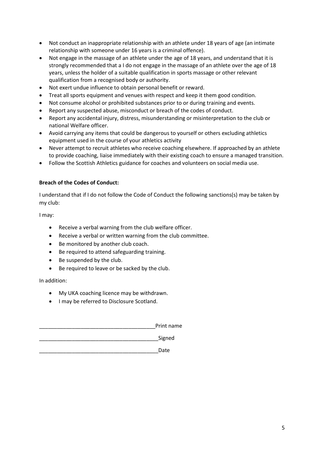- Not conduct an inappropriate relationship with an athlete under 18 years of age (an intimate relationship with someone under 16 years is a criminal offence).
- Not engage in the massage of an athlete under the age of 18 years, and understand that it is strongly recommended that a I do not engage in the massage of an athlete over the age of 18 years, unless the holder of a suitable qualification in sports massage or other relevant qualification from a recognised body or authority.
- Not exert undue influence to obtain personal benefit or reward.
- Treat all sports equipment and venues with respect and keep it them good condition.
- Not consume alcohol or prohibited substances prior to or during training and events.
- Report any suspected abuse, misconduct or breach of the codes of conduct.
- Report any accidental injury, distress, misunderstanding or misinterpretation to the club or national Welfare officer.
- Avoid carrying any items that could be dangerous to yourself or others excluding athletics equipment used in the course of your athletics activity
- Never attempt to recruit athletes who receive coaching elsewhere. If approached by an athlete to provide coaching, liaise immediately with their existing coach to ensure a managed transition.
- Follow the Scottish Athletics guidance for coaches and volunteers on social media use.

### **Breach of the Codes of Conduct:**

I understand that if I do not follow the Code of Conduct the following sanctions(s) may be taken by my club:

I may:

- Receive a verbal warning from the club welfare officer.
- Receive a verbal or written warning from the club committee.
- Be monitored by another club coach.
- Be required to attend safeguarding training.
- Be suspended by the club.
- Be required to leave or be sacked by the club.

In addition:

- My UKA coaching licence may be withdrawn.
- I may be referred to Disclosure Scotland.

Print name Signed \_\_\_\_\_\_\_\_\_\_\_\_\_\_\_\_\_\_\_\_\_\_\_\_\_\_\_\_\_\_\_\_\_\_\_\_\_\_\_\_Date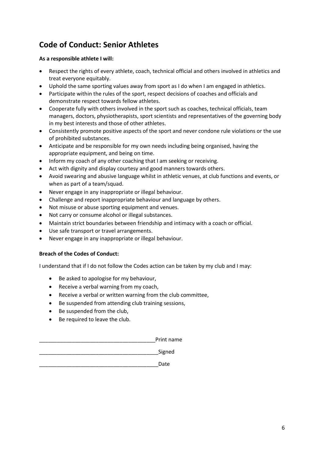## **Code of Conduct: Senior Athletes**

### **As a responsible athlete I will:**

- Respect the rights of every athlete, coach, technical official and others involved in athletics and treat everyone equitably.
- Uphold the same sporting values away from sport as I do when I am engaged in athletics.
- Participate within the rules of the sport, respect decisions of coaches and officials and demonstrate respect towards fellow athletes.
- Cooperate fully with others involved in the sport such as coaches, technical officials, team managers, doctors, physiotherapists, sport scientists and representatives of the governing body in my best interests and those of other athletes.
- Consistently promote positive aspects of the sport and never condone rule violations or the use of prohibited substances.
- Anticipate and be responsible for my own needs including being organised, having the appropriate equipment, and being on time.
- Inform my coach of any other coaching that I am seeking or receiving.
- Act with dignity and display courtesy and good manners towards others.
- Avoid swearing and abusive language whilst in athletic venues, at club functions and events, or when as part of a team/squad.
- Never engage in any inappropriate or illegal behaviour.
- Challenge and report inappropriate behaviour and language by others.
- Not misuse or abuse sporting equipment and venues.
- Not carry or consume alcohol or illegal substances.
- Maintain strict boundaries between friendship and intimacy with a coach or official.
- Use safe transport or travel arrangements.
- Never engage in any inappropriate or illegal behaviour.

### **Breach of the Codes of Conduct:**

I understand that if I do not follow the Codes action can be taken by my club and I may:

- Be asked to apologise for my behaviour,
- Receive a verbal warning from my coach,
- Receive a verbal or written warning from the club committee,
- Be suspended from attending club training sessions,
- Be suspended from the club,
- Be required to leave the club.

Print name

Signed

\_\_\_\_\_\_\_\_\_\_\_\_\_\_\_\_\_\_\_\_\_\_\_\_\_\_\_\_\_\_\_\_\_\_\_\_\_\_\_\_Date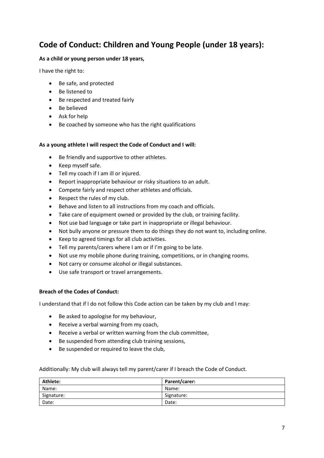### **Code of Conduct: Children and Young People (under 18 years):**

### **As a child or young person under 18 years,**

I have the right to:

- Be safe, and protected
- Be listened to
- Be respected and treated fairly
- Be believed
- Ask for help
- Be coached by someone who has the right qualifications

### **As a young athlete I will respect the Code of Conduct and I will:**

- Be friendly and supportive to other athletes.
- Keep myself safe.
- Tell my coach if I am ill or injured.
- Report inappropriate behaviour or risky situations to an adult.
- Compete fairly and respect other athletes and officials.
- Respect the rules of my club.
- Behave and listen to all instructions from my coach and officials.
- Take care of equipment owned or provided by the club, or training facility.
- Not use bad language or take part in inappropriate or illegal behaviour.
- Not bully anyone or pressure them to do things they do not want to, including online.
- Keep to agreed timings for all club activities.
- Tell my parents/carers where I am or if I'm going to be late.
- Not use my mobile phone during training, competitions, or in changing rooms.
- Not carry or consume alcohol or illegal substances.
- Use safe transport or travel arrangements.

### **Breach of the Codes of Conduct:**

I understand that if I do not follow this Code action can be taken by my club and I may:

- Be asked to apologise for my behaviour,
- Receive a verbal warning from my coach,
- Receive a verbal or written warning from the club committee,
- Be suspended from attending club training sessions,
- Be suspended or required to leave the club,

### Additionally: My club will always tell my parent/carer if I breach the Code of Conduct.

| Athlete:   | Parent/carer: |
|------------|---------------|
| Name:      | Name:         |
| Signature: | Signature:    |
| Date:      | Date:         |